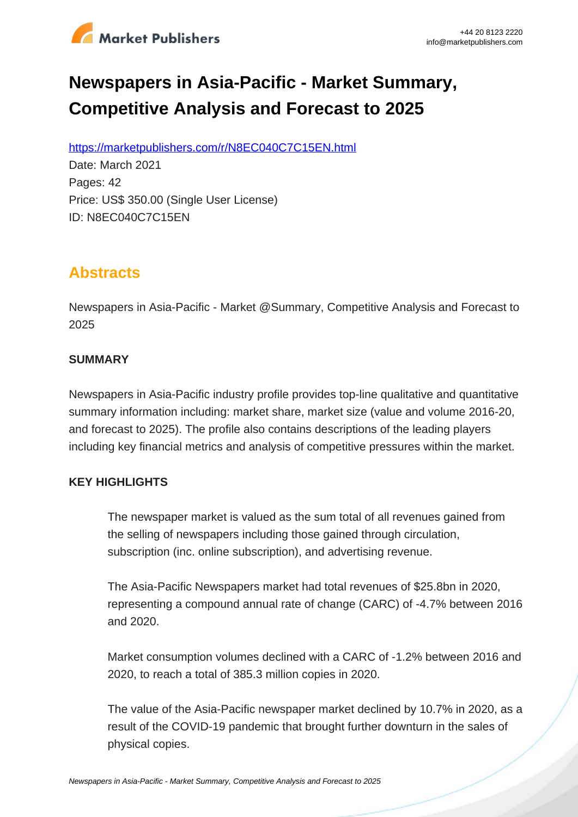

# **Newspapers in Asia-Pacific - Market Summary, Competitive Analysis and Forecast to 2025**

https://marketpublishers.com/r/N8EC040C7C15EN.html

Date: March 2021 Pages: 42 Price: US\$ 350.00 (Single User License) ID: N8EC040C7C15EN

# **Abstracts**

Newspapers in Asia-Pacific - Market @Summary, Competitive Analysis and Forecast to 2025

# **SUMMARY**

Newspapers in Asia-Pacific industry profile provides top-line qualitative and quantitative summary information including: market share, market size (value and volume 2016-20, and forecast to 2025). The profile also contains descriptions of the leading players including key financial metrics and analysis of competitive pressures within the market.

# **KEY HIGHLIGHTS**

The newspaper market is valued as the sum total of all revenues gained from the selling of newspapers including those gained through circulation, subscription (inc. online subscription), and advertising revenue.

The Asia-Pacific Newspapers market had total revenues of \$25.8bn in 2020, representing a compound annual rate of change (CARC) of -4.7% between 2016 and 2020.

Market consumption volumes declined with a CARC of -1.2% between 2016 and 2020, to reach a total of 385.3 million copies in 2020.

The value of the Asia-Pacific newspaper market declined by 10.7% in 2020, as a result of the COVID-19 pandemic that brought further downturn in the sales of physical copies.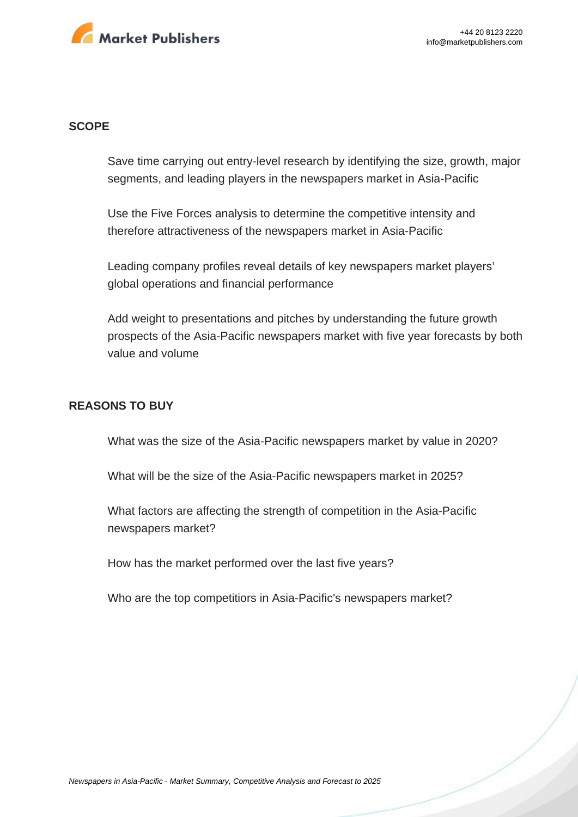

#### **SCOPE**

Save time carrying out entry-level research by identifying the size, growth, major segments, and leading players in the newspapers market in Asia-Pacific

Use the Five Forces analysis to determine the competitive intensity and therefore attractiveness of the newspapers market in Asia-Pacific

Leading company profiles reveal details of key newspapers market players' global operations and financial performance

Add weight to presentations and pitches by understanding the future growth prospects of the Asia-Pacific newspapers market with five year forecasts by both value and volume

#### **REASONS TO BUY**

What was the size of the Asia-Pacific newspapers market by value in 2020?

What will be the size of the Asia-Pacific newspapers market in 2025?

What factors are affecting the strength of competition in the Asia-Pacific newspapers market?

How has the market performed over the last five years?

Who are the top competitiors in Asia-Pacific's newspapers market?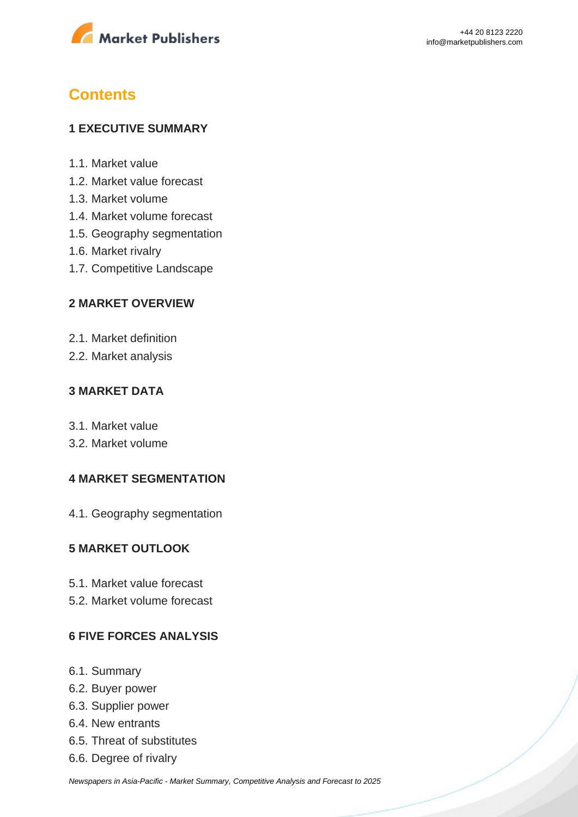

# **Contents**

# **1 EXECUTIVE SUMMARY**

- 1.1. Market value
- 1.2. Market value forecast
- 1.3. Market volume
- 1.4. Market volume forecast
- 1.5. Geography segmentation
- 1.6. Market rivalry
- 1.7. Competitive Landscape

# **2 MARKET OVERVIEW**

- 2.1. Market definition
- 2.2. Market analysis

# **3 MARKET DATA**

- 3.1. Market value
- 3.2. Market volume

# **4 MARKET SEGMENTATION**

4.1. Geography segmentation

# **5 MARKET OUTLOOK**

- 5.1. Market value forecast
- 5.2. Market volume forecast

# **6 FIVE FORCES ANALYSIS**

- 6.1. Summary
- 6.2. Buyer power
- 6.3. Supplier power
- 6.4. New entrants
- 6.5. Threat of substitutes
- 6.6. Degree of rivalry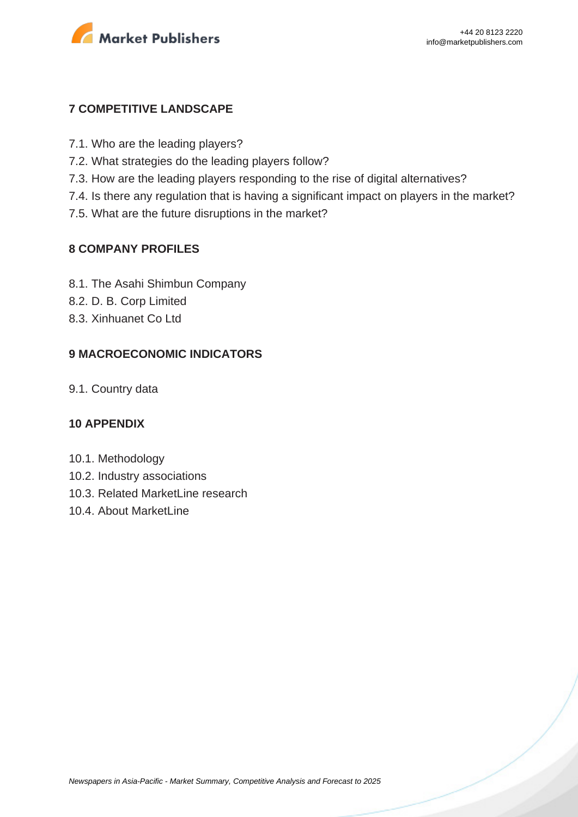

# **7 COMPETITIVE LANDSCAPE**

- 7.1. Who are the leading players?
- 7.2. What strategies do the leading players follow?
- 7.3. How are the leading players responding to the rise of digital alternatives?
- 7.4. Is there any regulation that is having a significant impact on players in the market?
- 7.5. What are the future disruptions in the market?

### **8 COMPANY PROFILES**

- 8.1. The Asahi Shimbun Company
- 8.2. D. B. Corp Limited
- 8.3. Xinhuanet Co Ltd

# **9 MACROECONOMIC INDICATORS**

9.1. Country data

#### **10 APPENDIX**

- 10.1. Methodology
- 10.2. Industry associations
- 10.3. Related MarketLine research
- 10.4. About MarketLine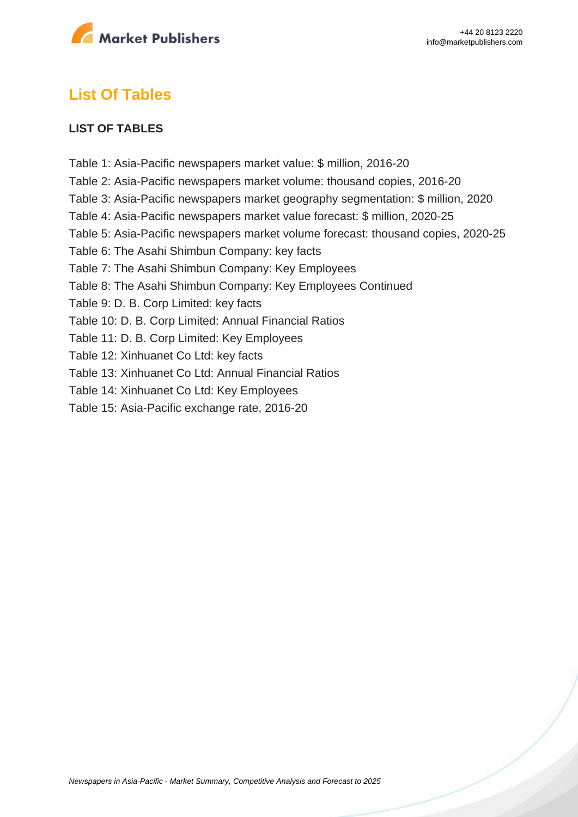

# **List Of Tables**

### **LIST OF TABLES**

Table 1: Asia-Pacific newspapers market value: \$ million, 2016-20 Table 2: Asia-Pacific newspapers market volume: thousand copies, 2016-20 Table 3: Asia-Pacific newspapers market geography segmentation: \$ million, 2020 Table 4: Asia-Pacific newspapers market value forecast: \$ million, 2020-25 Table 5: Asia-Pacific newspapers market volume forecast: thousand copies, 2020-25 Table 6: The Asahi Shimbun Company: key facts Table 7: The Asahi Shimbun Company: Key Employees Table 8: The Asahi Shimbun Company: Key Employees Continued Table 9: D. B. Corp Limited: key facts Table 10: D. B. Corp Limited: Annual Financial Ratios Table 11: D. B. Corp Limited: Key Employees Table 12: Xinhuanet Co Ltd: key facts Table 13: Xinhuanet Co Ltd: Annual Financial Ratios Table 14: Xinhuanet Co Ltd: Key Employees Table 15: Asia-Pacific exchange rate, 2016-20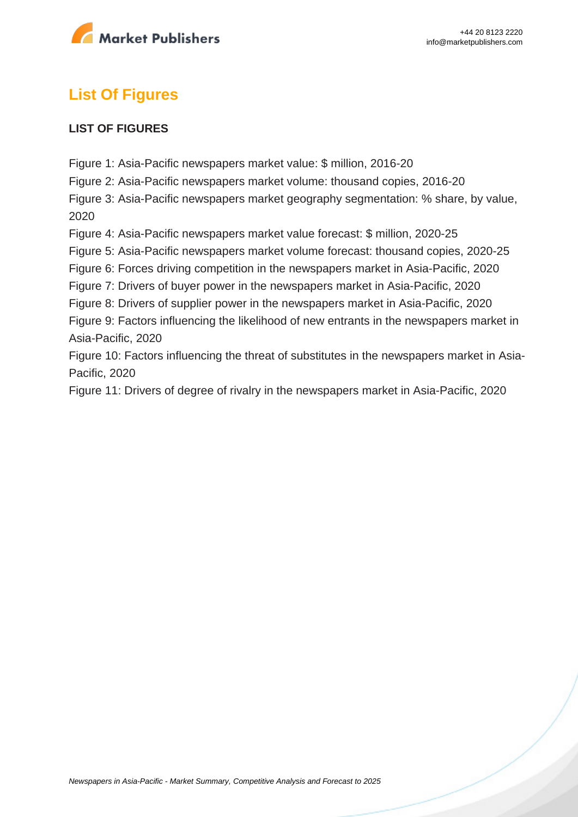

# **List Of Figures**

### **LIST OF FIGURES**

Figure 1: Asia-Pacific newspapers market value: \$ million, 2016-20

Figure 2: Asia-Pacific newspapers market volume: thousand copies, 2016-20

Figure 3: Asia-Pacific newspapers market geography segmentation: % share, by value, 2020

Figure 4: Asia-Pacific newspapers market value forecast: \$ million, 2020-25

Figure 5: Asia-Pacific newspapers market volume forecast: thousand copies, 2020-25

Figure 6: Forces driving competition in the newspapers market in Asia-Pacific, 2020

Figure 7: Drivers of buyer power in the newspapers market in Asia-Pacific, 2020

Figure 8: Drivers of supplier power in the newspapers market in Asia-Pacific, 2020

Figure 9: Factors influencing the likelihood of new entrants in the newspapers market in Asia-Pacific, 2020

Figure 10: Factors influencing the threat of substitutes in the newspapers market in Asia-Pacific, 2020

Figure 11: Drivers of degree of rivalry in the newspapers market in Asia-Pacific, 2020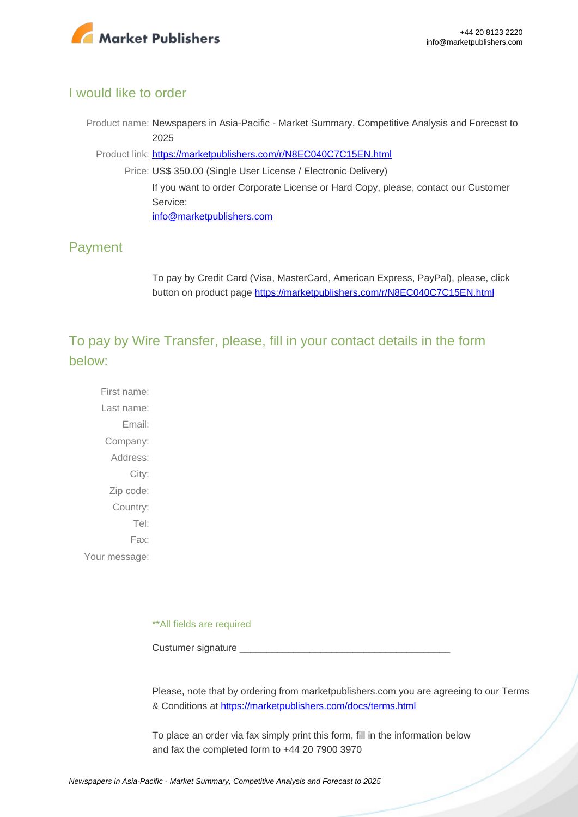

# I would like to order

Product name: Newspapers in Asia-Pacific - Market Summary, Competitive Analysis and Forecast to 2025

Product link: [https://marketpublishers.com/r/N8EC040C7C15EN.html](https://marketpublishers.com/report/media-entertainment/magazine-newspaper/newspapers-in-asia-pacific-market-summary-competitive-analysis-n-forecast-to-2025.html)

Price: US\$ 350.00 (Single User License / Electronic Delivery) If you want to order Corporate License or Hard Copy, please, contact our Customer Service: [info@marketpublishers.com](mailto:info@marketpublishers.com)

# Payment

To pay by Credit Card (Visa, MasterCard, American Express, PayPal), please, click button on product page [https://marketpublishers.com/r/N8EC040C7C15EN.html](https://marketpublishers.com/report/media-entertainment/magazine-newspaper/newspapers-in-asia-pacific-market-summary-competitive-analysis-n-forecast-to-2025.html)

To pay by Wire Transfer, please, fill in your contact details in the form below:

First name: Last name: Email: Company: Address: City: Zip code: Country: Tel: Fax: Your message:

\*\*All fields are required

Custumer signature

Please, note that by ordering from marketpublishers.com you are agreeing to our Terms & Conditions at<https://marketpublishers.com/docs/terms.html>

To place an order via fax simply print this form, fill in the information below and fax the completed form to +44 20 7900 3970